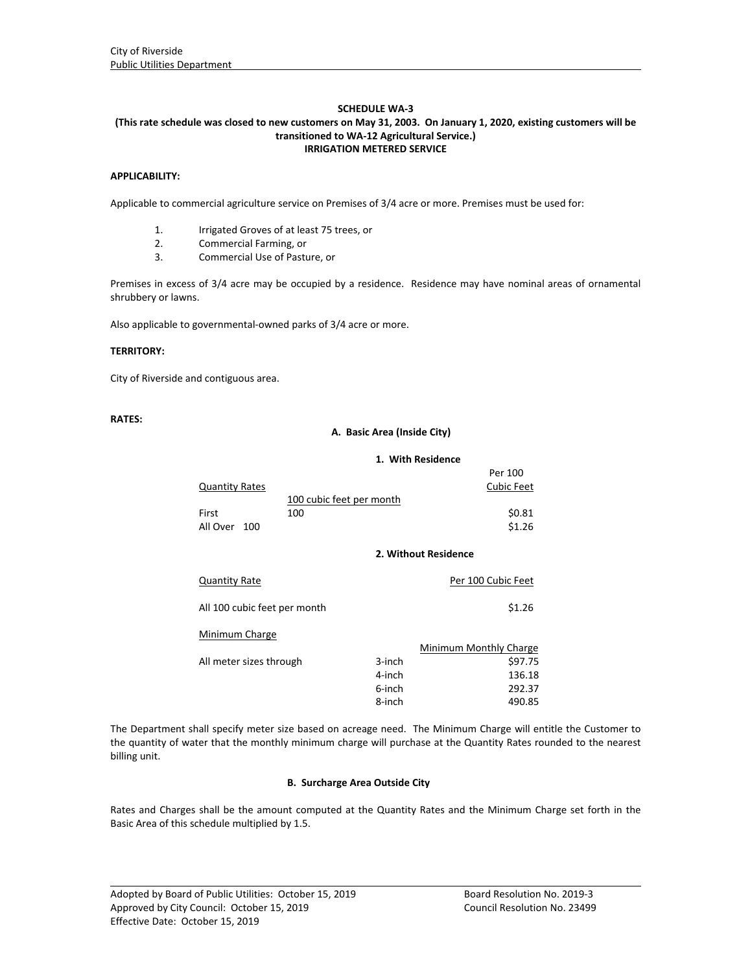# **SCHEDULE WA‐3**

### (This rate schedule was closed to new customers on May 31, 2003. On January 1, 2020, existing customers will be **transitioned to WA‐12 Agricultural Service.) IRRIGATION METERED SERVICE**

### **APPLICABILITY:**

Applicable to commercial agriculture service on Premises of 3/4 acre or more. Premises must be used for:

- 1. Irrigated Groves of at least 75 trees, or
- 2. Commercial Farming, or
- 3. Commercial Use of Pasture, or

Premises in excess of 3/4 acre may be occupied by a residence. Residence may have nominal areas of ornamental shrubbery or lawns.

Also applicable to governmental‐owned parks of 3/4 acre or more.

### **TERRITORY:**

City of Riverside and contiguous area.

# **RATES:**

### **A. Basic Area (Inside City)**

#### **1. With Residence**

|                       |                          | Per 100           |
|-----------------------|--------------------------|-------------------|
| <b>Quantity Rates</b> |                          | <b>Cubic Feet</b> |
|                       | 100 cubic feet per month |                   |
| First                 | 100                      | \$0.81            |
| All Over 100          |                          | \$1.26            |
|                       |                          |                   |
|                       | 2. Without Residence     |                   |
|                       |                          |                   |

| <b>Quantity Rate</b>         |        | Per 100 Cubic Feet     |
|------------------------------|--------|------------------------|
| All 100 cubic feet per month |        | \$1.26                 |
| Minimum Charge               |        |                        |
|                              |        | Minimum Monthly Charge |
| All meter sizes through      | 3-inch | \$97.75                |
|                              | 4-inch | 136.18                 |
|                              | 6-inch | 292.37                 |
|                              | 8-inch | 490.85                 |

The Department shall specify meter size based on acreage need. The Minimum Charge will entitle the Customer to the quantity of water that the monthly minimum charge will purchase at the Quantity Rates rounded to the nearest billing unit.

## **B. Surcharge Area Outside City**

Rates and Charges shall be the amount computed at the Quantity Rates and the Minimum Charge set forth in the Basic Area of this schedule multiplied by 1.5.

<u> 1989 - Johann Stoff, amerikansk politiker (d. 1989)</u>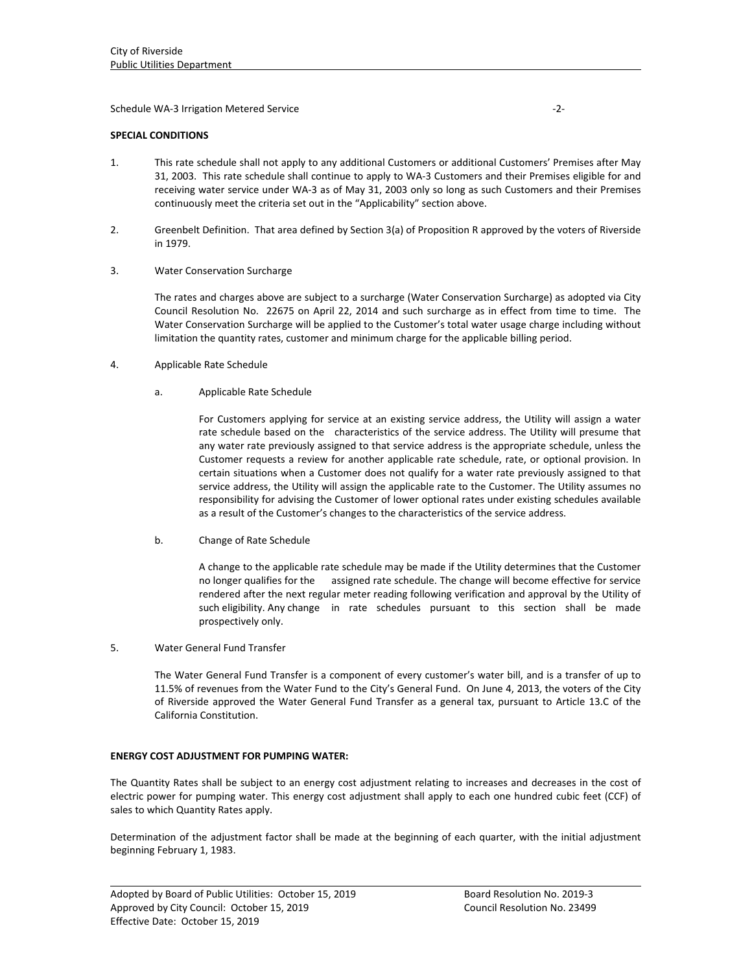Schedule WA‐3 Irrigation Metered Service ‐2‐

### **SPECIAL CONDITIONS**

- 1. This rate schedule shall not apply to any additional Customers or additional Customers' Premises after May 31, 2003. This rate schedule shall continue to apply to WA‐3 Customers and their Premises eligible for and receiving water service under WA‐3 as of May 31, 2003 only so long as such Customers and their Premises continuously meet the criteria set out in the "Applicability" section above.
- 2. Greenbelt Definition. That area defined by Section 3(a) of Proposition R approved by the voters of Riverside in 1979.
- 3. Water Conservation Surcharge

The rates and charges above are subject to a surcharge (Water Conservation Surcharge) as adopted via City Council Resolution No. 22675 on April 22, 2014 and such surcharge as in effect from time to time. The Water Conservation Surcharge will be applied to the Customer's total water usage charge including without limitation the quantity rates, customer and minimum charge for the applicable billing period.

- 4. Applicable Rate Schedule
	- a. Applicable Rate Schedule

For Customers applying for service at an existing service address, the Utility will assign a water rate schedule based on the characteristics of the service address. The Utility will presume that any water rate previously assigned to that service address is the appropriate schedule, unless the Customer requests a review for another applicable rate schedule, rate, or optional provision. In certain situations when a Customer does not qualify for a water rate previously assigned to that service address, the Utility will assign the applicable rate to the Customer. The Utility assumes no responsibility for advising the Customer of lower optional rates under existing schedules available as a result of the Customer's changes to the characteristics of the service address.

b. Change of Rate Schedule

A change to the applicable rate schedule may be made if the Utility determines that the Customer no longer qualifies for the assigned rate schedule. The change will become effective for service rendered after the next regular meter reading following verification and approval by the Utility of such eligibility. Any change in rate schedules pursuant to this section shall be made prospectively only.

5. Water General Fund Transfer

The Water General Fund Transfer is a component of every customer's water bill, and is a transfer of up to 11.5% of revenues from the Water Fund to the City's General Fund. On June 4, 2013, the voters of the City of Riverside approved the Water General Fund Transfer as a general tax, pursuant to Article 13.C of the California Constitution.

## **ENERGY COST ADJUSTMENT FOR PUMPING WATER:**

The Quantity Rates shall be subject to an energy cost adjustment relating to increases and decreases in the cost of electric power for pumping water. This energy cost adjustment shall apply to each one hundred cubic feet (CCF) of sales to which Quantity Rates apply.

Determination of the adjustment factor shall be made at the beginning of each quarter, with the initial adjustment beginning February 1, 1983.

<u> 1989 - Johann Stoff, amerikansk politiker (d. 1989)</u>